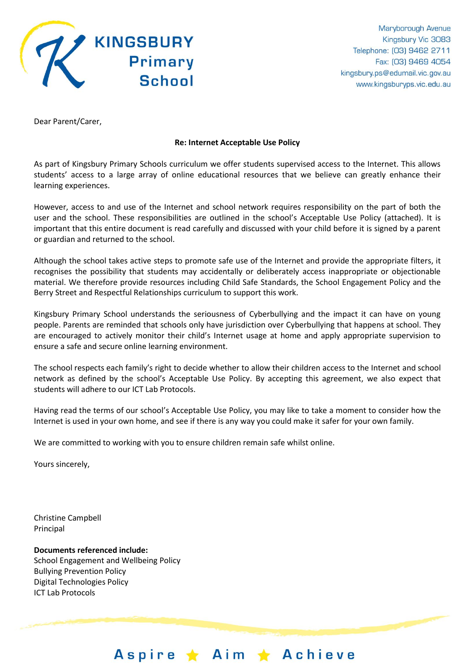

Dear Parent/Carer,

# **Re: Internet Acceptable Use Policy**

As part of Kingsbury Primary Schools curriculum we offer students supervised access to the Internet. This allows students' access to a large array of online educational resources that we believe can greatly enhance their learning experiences.

However, access to and use of the Internet and school network requires responsibility on the part of both the user and the school. These responsibilities are outlined in the school's Acceptable Use Policy (attached). It is important that this entire document is read carefully and discussed with your child before it is signed by a parent or guardian and returned to the school.

Although the school takes active steps to promote safe use of the Internet and provide the appropriate filters, it recognises the possibility that students may accidentally or deliberately access inappropriate or objectionable material. We therefore provide resources including Child Safe Standards, the School Engagement Policy and the Berry Street and Respectful Relationships curriculum to support this work.

Kingsbury Primary School understands the seriousness of Cyberbullying and the impact it can have on young people. Parents are reminded that schools only have jurisdiction over Cyberbullying that happens at school. They are encouraged to actively monitor their child's Internet usage at home and apply appropriate supervision to ensure a safe and secure online learning environment.

The school respects each family's right to decide whether to allow their children access to the Internet and school network as defined by the school's Acceptable Use Policy. By accepting this agreement, we also expect that students will adhere to our ICT Lab Protocols.

Having read the terms of our school's Acceptable Use Policy, you may like to take a moment to consider how the Internet is used in your own home, and see if there is any way you could make it safer for your own family.

We are committed to working with you to ensure children remain safe whilst online.

Yours sincerely,

Christine Campbell Principal

**Documents referenced include:** School Engagement and Wellbeing Policy Bullying Prevention Policy Digital Technologies Policy ICT Lab Protocols

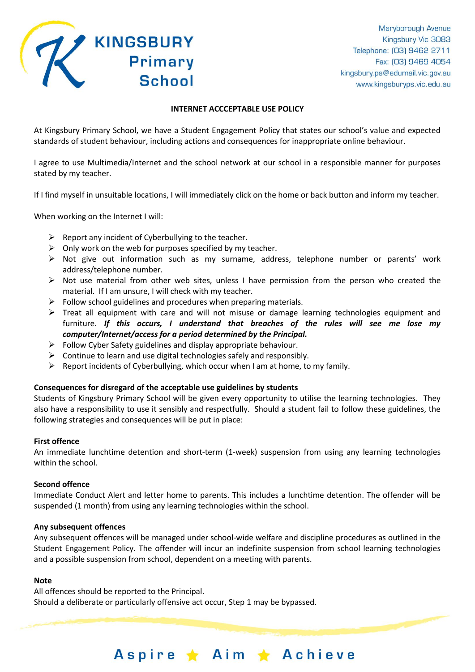

# **INTERNET ACCCEPTABLE USE POLICY**

At Kingsbury Primary School, we have a Student Engagement Policy that states our school's value and expected standards of student behaviour, including actions and consequences for inappropriate online behaviour.

I agree to use Multimedia/Internet and the school network at our school in a responsible manner for purposes stated by my teacher.

If I find myself in unsuitable locations, I will immediately click on the home or back button and inform my teacher.

When working on the Internet I will:

- $\triangleright$  Report any incident of Cyberbullying to the teacher.
- $\triangleright$  Only work on the web for purposes specified by my teacher.
- $\triangleright$  Not give out information such as my surname, address, telephone number or parents' work address/telephone number.
- $\triangleright$  Not use material from other web sites, unless I have permission from the person who created the material. If I am unsure, I will check with my teacher.
- $\triangleright$  Follow school guidelines and procedures when preparing materials.
- $\triangleright$  Treat all equipment with care and will not misuse or damage learning technologies equipment and furniture. *If this occurs, I understand that breaches of the rules will see me lose my computer/Internet/access for a period determined by the Principal.*
- $\triangleright$  Follow Cyber Safety guidelines and display appropriate behaviour.
- $\triangleright$  Continue to learn and use digital technologies safely and responsibly.
- $\triangleright$  Report incidents of Cyberbullying, which occur when I am at home, to my family.

# **Consequences for disregard of the acceptable use guidelines by students**

Students of Kingsbury Primary School will be given every opportunity to utilise the learning technologies. They also have a responsibility to use it sensibly and respectfully. Should a student fail to follow these guidelines, the following strategies and consequences will be put in place:

# **First offence**

An immediate lunchtime detention and short-term (1-week) suspension from using any learning technologies within the school.

# **Second offence**

Immediate Conduct Alert and letter home to parents. This includes a lunchtime detention. The offender will be suspended (1 month) from using any learning technologies within the school.

# **Any subsequent offences**

Any subsequent offences will be managed under school-wide welfare and discipline procedures as outlined in the Student Engagement Policy. The offender will incur an indefinite suspension from school learning technologies and a possible suspension from school, dependent on a meeting with parents.

Aspire ★ Aim ★ Achieve

# **Note**

All offences should be reported to the Principal. Should a deliberate or particularly offensive act occur, Step 1 may be bypassed.